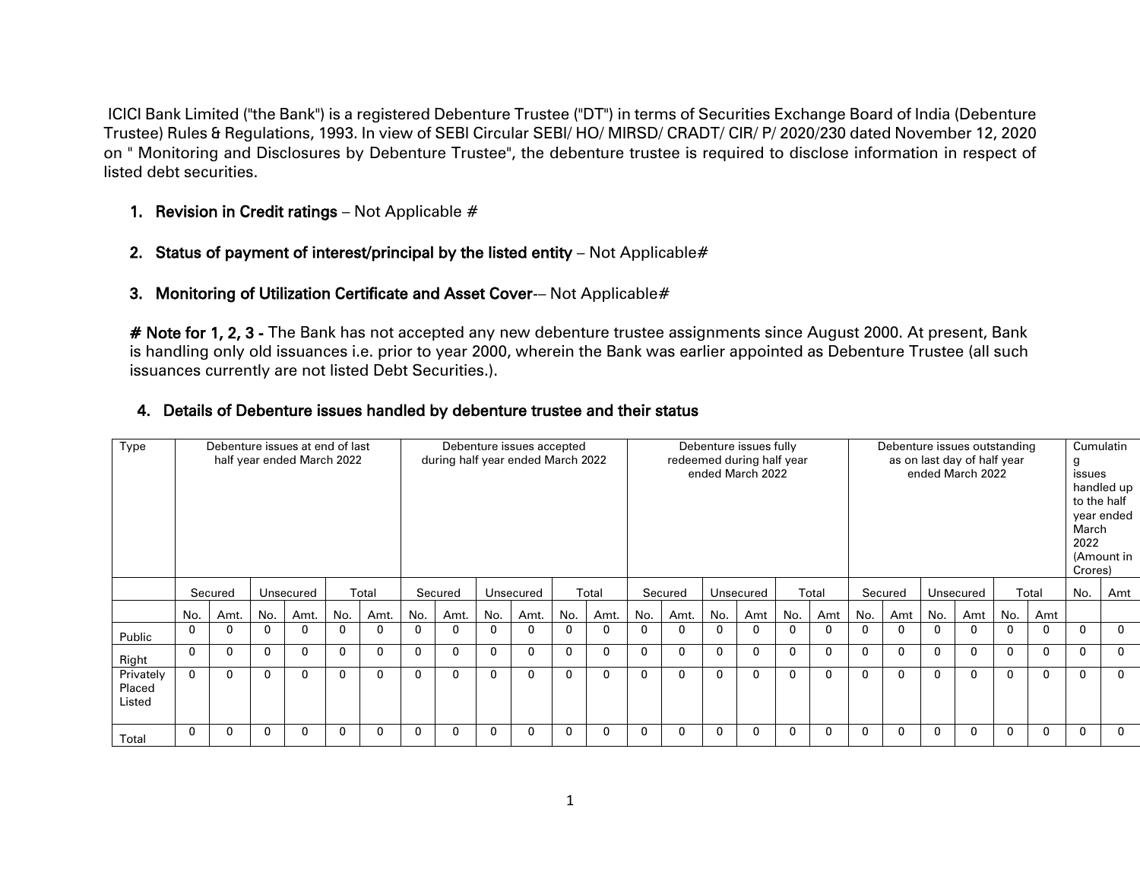ICICI Bank Limited ("the Bank") is a registered Debenture Trustee ("DT") in terms of Securities Exchange Board of India (Debenture Trustee) Rules & Regulations, 1993. In view of SEBI Circular SEBI/ HO/ MIRSD/ CRADT/ CIR/ P/ 2020/230 dated November 12, 2020 on " Monitoring and Disclosures by Debenture Trustee", the debenture trustee is required to disclose information in respect of listed debt securities.

- 1. Revision in Credit ratings  $-$  Not Applicable  $#$
- 2. Status of payment of interest/principal by the listed entity  $-$  Not Applicable  $\#$
- 3. Monitoring of Utilization Certificate and Asset Cover-- Not Applicable#

# Note for 1, 2, 3 - The Bank has not accepted any new debenture trustee assignments since August 2000. At present, Bank is handling only old issuances i.e. prior to year 2000, wherein the Bank was earlier appointed as Debenture Trustee (all such issuances currently are not listed Debt Securities.).

## 4. Details of Debenture issues handled by debenture trustee and their status

| Type                          | Debenture issues at end of last<br>half year ended March 2022 |         |     |              |     |       |              |             | Debenture issues accepted<br>during half year ended March 2022 |             |              |              |              |             | Debenture issues fully<br>redeemed during half year<br>ended March 2022 |             |     |             | Debenture issues outstanding |             | as on last day of half year<br>ended March 2022 |           |              | Cumulatin<br>g<br>issues<br>to the half<br>March<br>2022<br>Crores) | handled up<br>year ended<br>(Amount in |              |
|-------------------------------|---------------------------------------------------------------|---------|-----|--------------|-----|-------|--------------|-------------|----------------------------------------------------------------|-------------|--------------|--------------|--------------|-------------|-------------------------------------------------------------------------|-------------|-----|-------------|------------------------------|-------------|-------------------------------------------------|-----------|--------------|---------------------------------------------------------------------|----------------------------------------|--------------|
|                               |                                                               | Secured |     | Unsecured    |     | Total |              | Secured     |                                                                | Unsecured   |              | Total        |              | Secured     |                                                                         | Unsecured   |     | Total       |                              | Secured     |                                                 | Unsecured |              | Total                                                               | No.                                    | Amt          |
|                               | No.                                                           | Amt.    | No. | Amt.         | No. | Amt.  | No.          | Amt.        | No.                                                            | Amt.        | No.          | Amt.         | No.          | Amt.        | No.                                                                     | Amt         | No. | Amt         | No.                          | Amt         | No.                                             | Amt       | No.          | Amt                                                                 |                                        |              |
| Public                        | 0                                                             |         | 0   | 0            |     |       | 0            | 0           | 0                                                              |             | $\Omega$     | $\Omega$     |              | $\Omega$    | 0                                                                       | ŋ           |     |             | 0                            |             | 0                                               |           | $\Omega$     | 0                                                                   | 0                                      | $\Omega$     |
| Right                         | 0                                                             | 0       | 0   | 0            | 0   |       | $\mathbf{0}$ | $\Omega$    | $\Omega$                                                       |             | $\Omega$     | 0            | $\Omega$     | $\Omega$    | $\mathbf 0$                                                             | $\Omega$    |     | $\Omega$    | 0                            | $\Omega$    | 0                                               | 0         | $\Omega$     | 0                                                                   | $\Omega$                               | $\Omega$     |
| Privately<br>Placed<br>Listed | 0                                                             | 0       | 0   | $\mathbf{0}$ | 0   | 0     | $\mathbf{0}$ | $\mathbf 0$ | $\mathbf{0}$                                                   | $\mathbf 0$ | $\mathbf{0}$ | $\mathbf{0}$ | $\mathbf{0}$ | $\mathbf 0$ | $\mathbf 0$                                                             | $\mathbf 0$ | 0   | $\mathbf 0$ | 0                            | $\mathbf 0$ | 0                                               | $\Omega$  | $\mathbf{0}$ | $\mathbf{0}$                                                        | $\Omega$                               | $\mathbf{0}$ |
| Total                         | 0                                                             | 0       | 0   | 0            | 0   |       | 0            | $\Omega$    | 0                                                              |             | $\Omega$     | 0            | 0            | 0           | $\mathbf 0$                                                             | $\Omega$    |     |             | 0                            |             | 0                                               | 0         | 0            | 0                                                                   | 0                                      | $\mathbf{0}$ |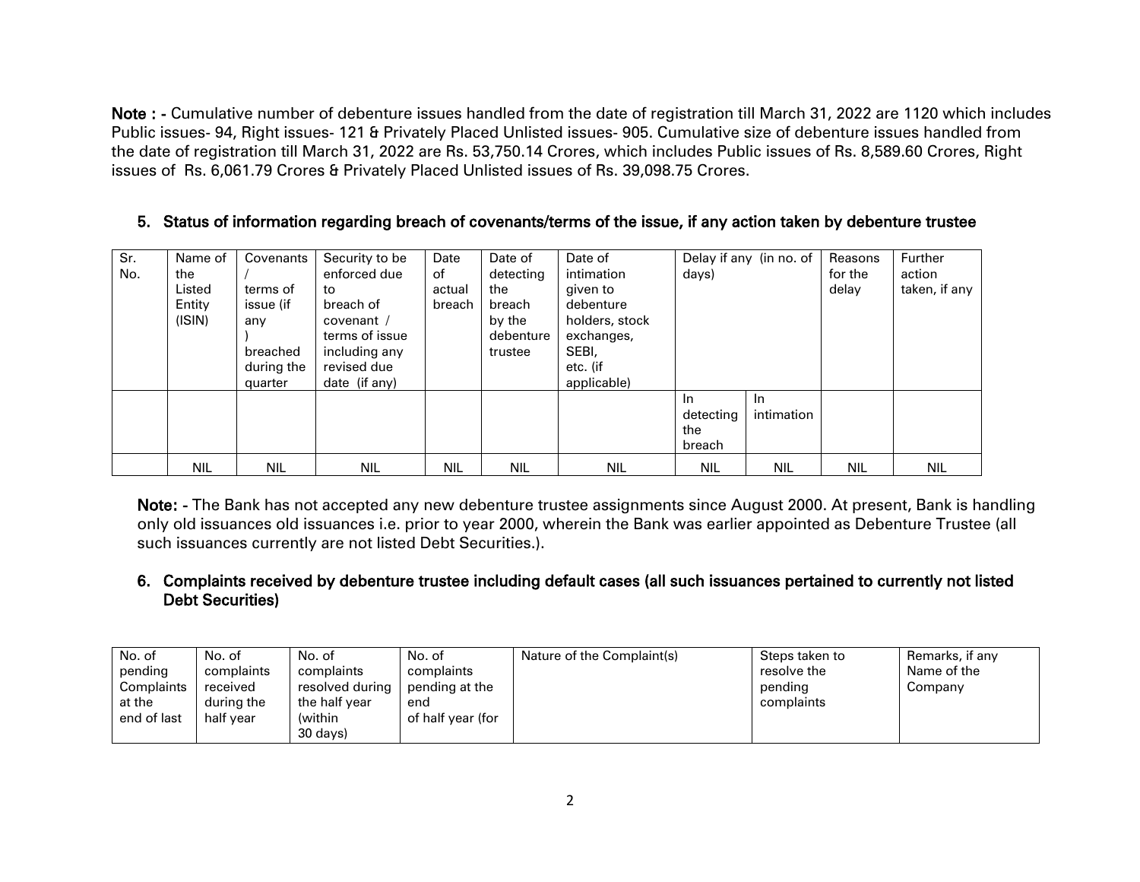Note : - Cumulative number of debenture issues handled from the date of registration till March 31, 2022 are 1120 which includes Public issues- 94, Right issues- 121 & Privately Placed Unlisted issues- 905. Cumulative size of debenture issues handled from the date of registration till March 31, 2022 are Rs. 53,750.14 Crores, which includes Public issues of Rs. 8,589.60 Crores, Right issues of Rs. 6,061.79 Crores & Privately Placed Unlisted issues of Rs. 39,098.75 Crores.

## 5. Status of information regarding breach of covenants/terms of the issue, if any action taken by debenture trustee

| Sr. | Name of    | Covenants  | Security to be | Date       | Date of    | Date of        |            | Delay if any (in no. of | Reasons    | Further       |
|-----|------------|------------|----------------|------------|------------|----------------|------------|-------------------------|------------|---------------|
| No. | the        |            | enforced due   | of         | detecting  | intimation     | days)      |                         | for the    | action        |
|     | Listed     | terms of   | to             | actual     | the        | given to       |            |                         | delay      | taken, if any |
|     | Entity     | issue (if  | breach of      | breach     | breach     | debenture      |            |                         |            |               |
|     | (ISIN)     | any        | covenant /     |            | by the     | holders, stock |            |                         |            |               |
|     |            |            | terms of issue |            | debenture  | exchanges,     |            |                         |            |               |
|     |            | breached   | including any  |            | trustee    | SEBI,          |            |                         |            |               |
|     |            | during the | revised due    |            |            | etc. (if       |            |                         |            |               |
|     |            | quarter    | date (if any)  |            |            | applicable)    |            |                         |            |               |
|     |            |            |                |            |            |                | In.        | -In                     |            |               |
|     |            |            |                |            |            |                | detecting  | intimation              |            |               |
|     |            |            |                |            |            |                | the        |                         |            |               |
|     |            |            |                |            |            |                | breach     |                         |            |               |
|     | <b>NIL</b> | <b>NIL</b> | <b>NIL</b>     | <b>NIL</b> | <b>NIL</b> | <b>NIL</b>     | <b>NIL</b> | <b>NIL</b>              | <b>NIL</b> | <b>NIL</b>    |

Note: - The Bank has not accepted any new debenture trustee assignments since August 2000. At present, Bank is handling only old issuances old issuances i.e. prior to year 2000, wherein the Bank was earlier appointed as Debenture Trustee (all such issuances currently are not listed Debt Securities.).

## 6. Complaints received by debenture trustee including default cases (all such issuances pertained to currently not listed Debt Securities)

| No. of<br>pending<br>Complaints<br>at the<br>end of last | No. of<br>complaints<br>received<br>during the<br>half year | No. of<br>complaints<br>resolved during<br>the half vear<br>(within<br>30 davs) | No. of<br>complaints<br>pending at the<br>end<br>of half year (for | Nature of the Complaint(s) | Steps taken to<br>resolve the<br>pending<br>complaints | Remarks, if any<br>Name of the<br>Company |
|----------------------------------------------------------|-------------------------------------------------------------|---------------------------------------------------------------------------------|--------------------------------------------------------------------|----------------------------|--------------------------------------------------------|-------------------------------------------|
|----------------------------------------------------------|-------------------------------------------------------------|---------------------------------------------------------------------------------|--------------------------------------------------------------------|----------------------------|--------------------------------------------------------|-------------------------------------------|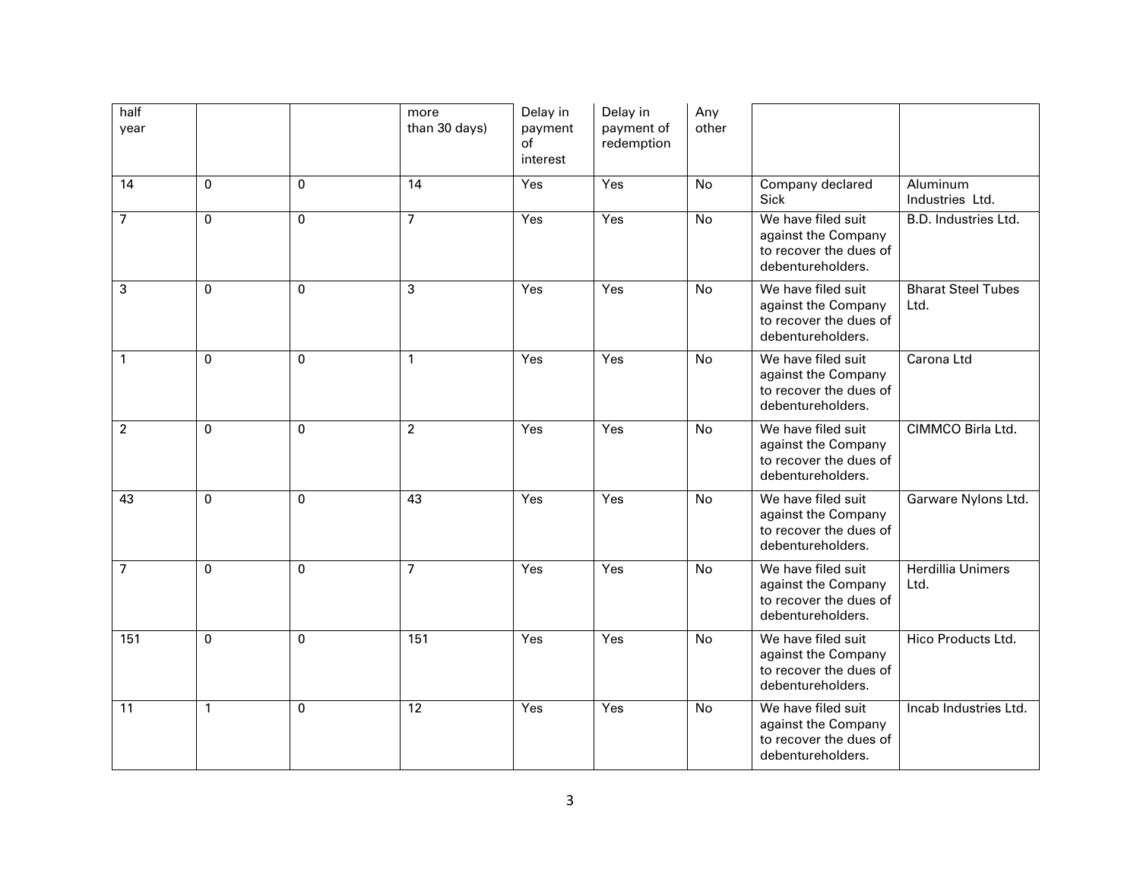| half<br>year   |              |              | more<br>than 30 days) | Delay in<br>payment<br>of<br>interest | Delay in<br>payment of<br>redemption | Any<br>other |                                                                                          |                                   |
|----------------|--------------|--------------|-----------------------|---------------------------------------|--------------------------------------|--------------|------------------------------------------------------------------------------------------|-----------------------------------|
| 14             | $\mathbf{0}$ | $\mathbf{0}$ | 14                    | Yes                                   | Yes                                  | No           | Company declared<br><b>Sick</b>                                                          | Aluminum<br>Industries Ltd.       |
| $\overline{7}$ | $\mathbf{0}$ | $\mathbf{0}$ | $\overline{7}$        | Yes                                   | Yes                                  | No           | We have filed suit<br>against the Company<br>to recover the dues of<br>debentureholders. | B.D. Industries Ltd.              |
| 3              | $\Omega$     | $\Omega$     | 3                     | Yes                                   | Yes                                  | No           | We have filed suit<br>against the Company<br>to recover the dues of<br>debentureholders. | <b>Bharat Steel Tubes</b><br>Ltd. |
| $\mathbf{1}$   | $\Omega$     | $\Omega$     | $\mathbf{1}$          | Yes                                   | Yes                                  | <b>No</b>    | We have filed suit<br>against the Company<br>to recover the dues of<br>debentureholders. | Carona Ltd                        |
| $\overline{2}$ | $\Omega$     | $\mathbf 0$  | $\overline{2}$        | Yes                                   | Yes                                  | No           | We have filed suit<br>against the Company<br>to recover the dues of<br>debentureholders. | CIMMCO Birla Ltd.                 |
| 43             | $\mathbf{0}$ | $\mathbf{0}$ | $\overline{43}$       | Yes                                   | Yes                                  | No           | We have filed suit<br>against the Company<br>to recover the dues of<br>debentureholders. | Garware Nylons Ltd.               |
| $\overline{7}$ | $\mathbf{0}$ | $\mathbf{0}$ | $\overline{7}$        | Yes                                   | Yes                                  | No           | We have filed suit<br>against the Company<br>to recover the dues of<br>debentureholders. | <b>Herdillia Unimers</b><br>Ltd.  |
| 151            | 0            | 0            | 151                   | Yes                                   | Yes                                  | No           | We have filed suit<br>against the Company<br>to recover the dues of<br>debentureholders. | Hico Products Ltd.                |
| 11             | 1            | $\Omega$     | 12                    | Yes                                   | Yes                                  | No           | We have filed suit<br>against the Company<br>to recover the dues of<br>debentureholders. | Incab Industries Ltd.             |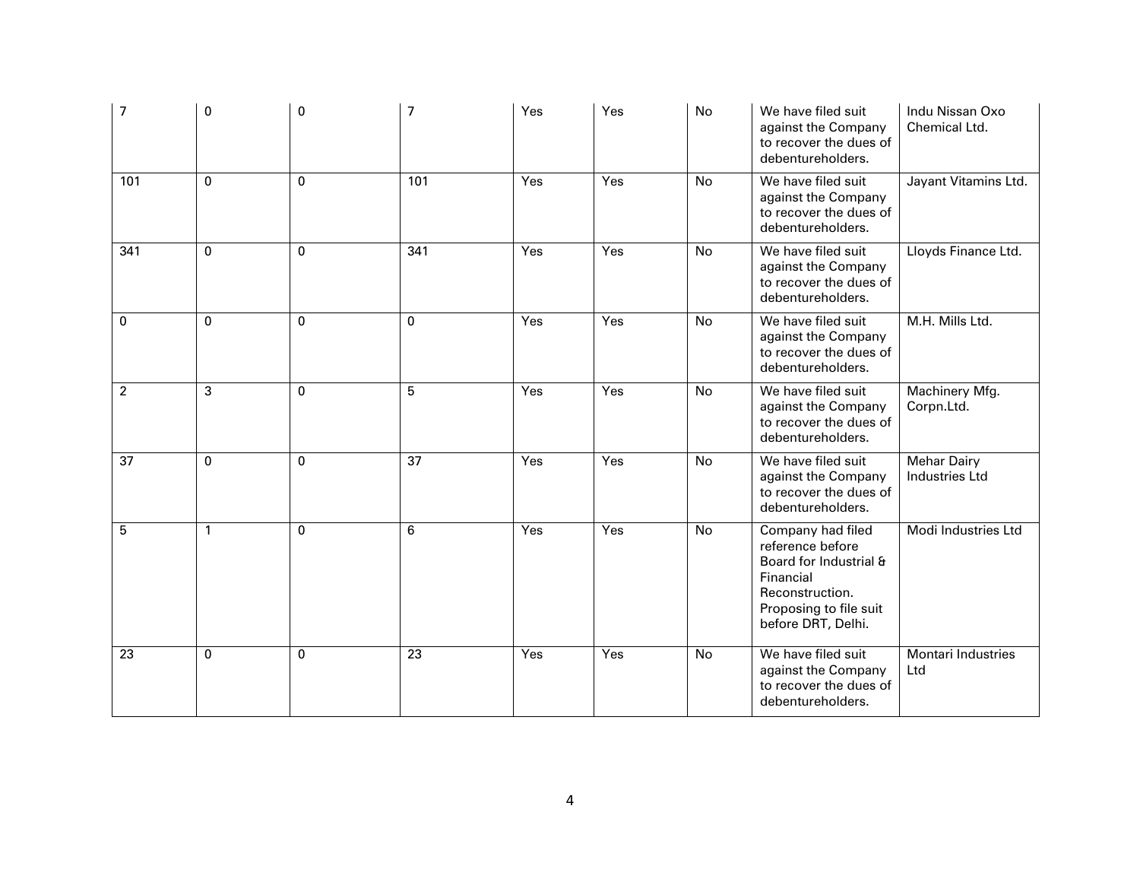| 7              | 0            | 0            | $\overline{7}$  | Yes | Yes | No        | We have filed suit<br>against the Company<br>to recover the dues of<br>debentureholders.                                                        | Indu Nissan Oxo<br>Chemical Ltd.            |
|----------------|--------------|--------------|-----------------|-----|-----|-----------|-------------------------------------------------------------------------------------------------------------------------------------------------|---------------------------------------------|
| 101            | 0            | $\mathbf 0$  | 101             | Yes | Yes | No        | We have filed suit<br>against the Company<br>to recover the dues of<br>debentureholders.                                                        | Jayant Vitamins Ltd.                        |
| 341            | $\mathbf 0$  | $\mathbf{0}$ | 341             | Yes | Yes | No        | We have filed suit<br>against the Company<br>to recover the dues of<br>debentureholders.                                                        | Lloyds Finance Ltd.                         |
| 0              | $\mathbf 0$  | $\mathbf{0}$ | $\mathbf{0}$    | Yes | Yes | No        | We have filed suit<br>against the Company<br>to recover the dues of<br>debentureholders.                                                        | M.H. Mills Ltd.                             |
| $\overline{2}$ | 3            | $\mathbf{0}$ | 5               | Yes | Yes | <b>No</b> | We have filed suit<br>against the Company<br>to recover the dues of<br>debentureholders.                                                        | Machinery Mfg.<br>Corpn.Ltd.                |
| 37             | 0            | $\mathbf{0}$ | $\overline{37}$ | Yes | Yes | No        | We have filed suit<br>against the Company<br>to recover the dues of<br>debentureholders.                                                        | <b>Mehar Dairy</b><br><b>Industries Ltd</b> |
| 5              | $\mathbf{1}$ | $\mathbf 0$  | 6               | Yes | Yes | No        | Company had filed<br>reference before<br>Board for Industrial &<br>Financial<br>Reconstruction.<br>Proposing to file suit<br>before DRT, Delhi. | Modi Industries Ltd                         |
| 23             | 0            | $\mathbf 0$  | 23              | Yes | Yes | No        | We have filed suit<br>against the Company<br>to recover the dues of<br>debentureholders.                                                        | <b>Montari Industries</b><br>Ltd            |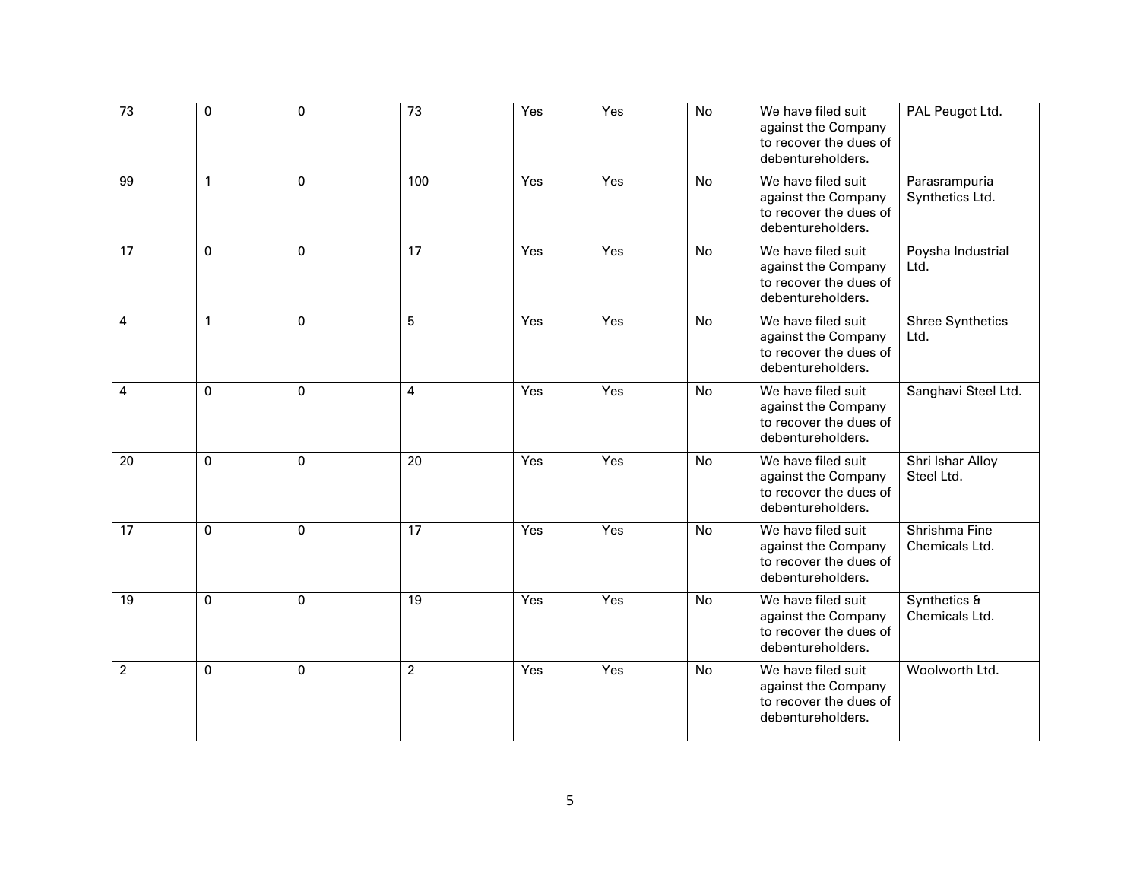| 73              | 0            | 0            | 73              | Yes | Yes | No        | We have filed suit<br>against the Company<br>to recover the dues of<br>debentureholders. | PAL Peugot Ltd.                  |
|-----------------|--------------|--------------|-----------------|-----|-----|-----------|------------------------------------------------------------------------------------------|----------------------------------|
| $\overline{99}$ | 1            | $\mathbf{0}$ | 100             | Yes | Yes | No        | We have filed suit<br>against the Company<br>to recover the dues of<br>debentureholders. | Parasrampuria<br>Synthetics Ltd. |
| 17              | $\mathbf 0$  | $\mathbf 0$  | $\overline{17}$ | Yes | Yes | No        | We have filed suit<br>against the Company<br>to recover the dues of<br>debentureholders. | Poysha Industrial<br>Ltd.        |
| 4               | $\mathbf{1}$ | $\Omega$     | 5               | Yes | Yes | <b>No</b> | We have filed suit<br>against the Company<br>to recover the dues of<br>debentureholders. | <b>Shree Synthetics</b><br>Ltd.  |
| 4               | 0            | $\Omega$     | $\overline{4}$  | Yes | Yes | <b>No</b> | We have filed suit<br>against the Company<br>to recover the dues of<br>debentureholders. | Sanghavi Steel Ltd.              |
| 20              | 0            | $\mathbf{0}$ | 20              | Yes | Yes | No        | We have filed suit<br>against the Company<br>to recover the dues of<br>debentureholders. | Shri Ishar Alloy<br>Steel Ltd.   |
| 17              | 0            | $\mathbf 0$  | 17              | Yes | Yes | <b>No</b> | We have filed suit<br>against the Company<br>to recover the dues of<br>debentureholders. | Shrishma Fine<br>Chemicals Ltd.  |
| 19              | 0            | $\mathbf 0$  | 19              | Yes | Yes | <b>No</b> | We have filed suit<br>against the Company<br>to recover the dues of<br>debentureholders. | Synthetics &<br>Chemicals Ltd.   |
| $\overline{2}$  | 0            | $\Omega$     | $\overline{2}$  | Yes | Yes | <b>No</b> | We have filed suit<br>against the Company<br>to recover the dues of<br>debentureholders. | Woolworth Ltd.                   |